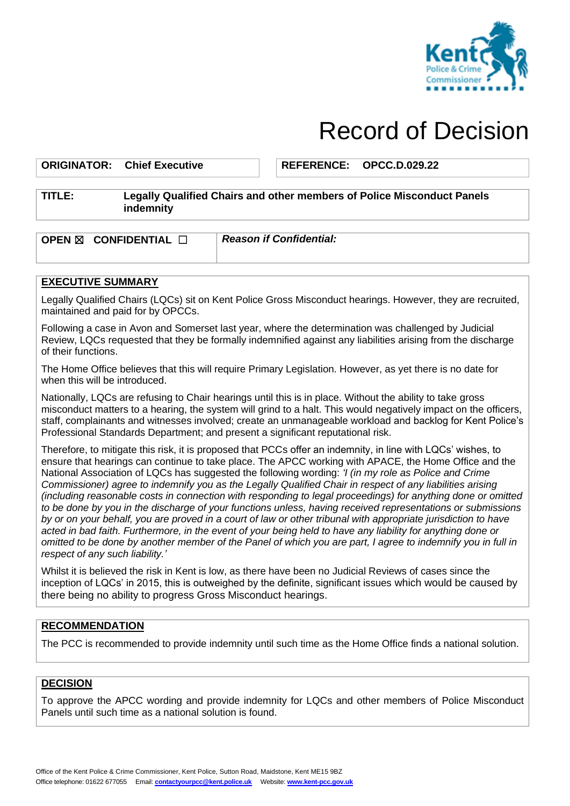

# Record of Decision

#### **ORIGINATOR: Chief Executive REFERENCE: OPCC.D.029.22**

### **TITLE: Legally Qualified Chairs and other members of Police Misconduct Panels indemnity**

**OPEN** ☒ **CONFIDENTIAL** ☐*Reason if Confidential:*

## **EXECUTIVE SUMMARY**

Legally Qualified Chairs (LQCs) sit on Kent Police Gross Misconduct hearings. However, they are recruited, maintained and paid for by OPCCs.

Following a case in Avon and Somerset last year, where the determination was challenged by Judicial Review, LQCs requested that they be formally indemnified against any liabilities arising from the discharge of their functions.

The Home Office believes that this will require Primary Legislation. However, as yet there is no date for when this will be introduced.

Nationally, LQCs are refusing to Chair hearings until this is in place. Without the ability to take gross misconduct matters to a hearing, the system will grind to a halt. This would negatively impact on the officers, staff, complainants and witnesses involved; create an unmanageable workload and backlog for Kent Police's Professional Standards Department; and present a significant reputational risk.

Therefore, to mitigate this risk, it is proposed that PCCs offer an indemnity, in line with LQCs' wishes, to ensure that hearings can continue to take place. The APCC working with APACE, the Home Office and the National Association of LQCs has suggested the following wording: *'I (in my role as Police and Crime Commissioner) agree to indemnify you as the Legally Qualified Chair in respect of any liabilities arising (including reasonable costs in connection with responding to legal proceedings) for anything done or omitted to be done by you in the discharge of your functions unless, having received representations or submissions by or on your behalf, you are proved in a court of law or other tribunal with appropriate jurisdiction to have acted in bad faith. Furthermore, in the event of your being held to have any liability for anything done or omitted to be done by another member of the Panel of which you are part, I agree to indemnify you in full in respect of any such liability.'*

Whilst it is believed the risk in Kent is low, as there have been no Judicial Reviews of cases since the inception of LQCs' in 2015, this is outweighed by the definite, significant issues which would be caused by there being no ability to progress Gross Misconduct hearings.

## **RECOMMENDATION**

The PCC is recommended to provide indemnity until such time as the Home Office finds a national solution.

## **DECISION**

To approve the APCC wording and provide indemnity for LQCs and other members of Police Misconduct Panels until such time as a national solution is found.